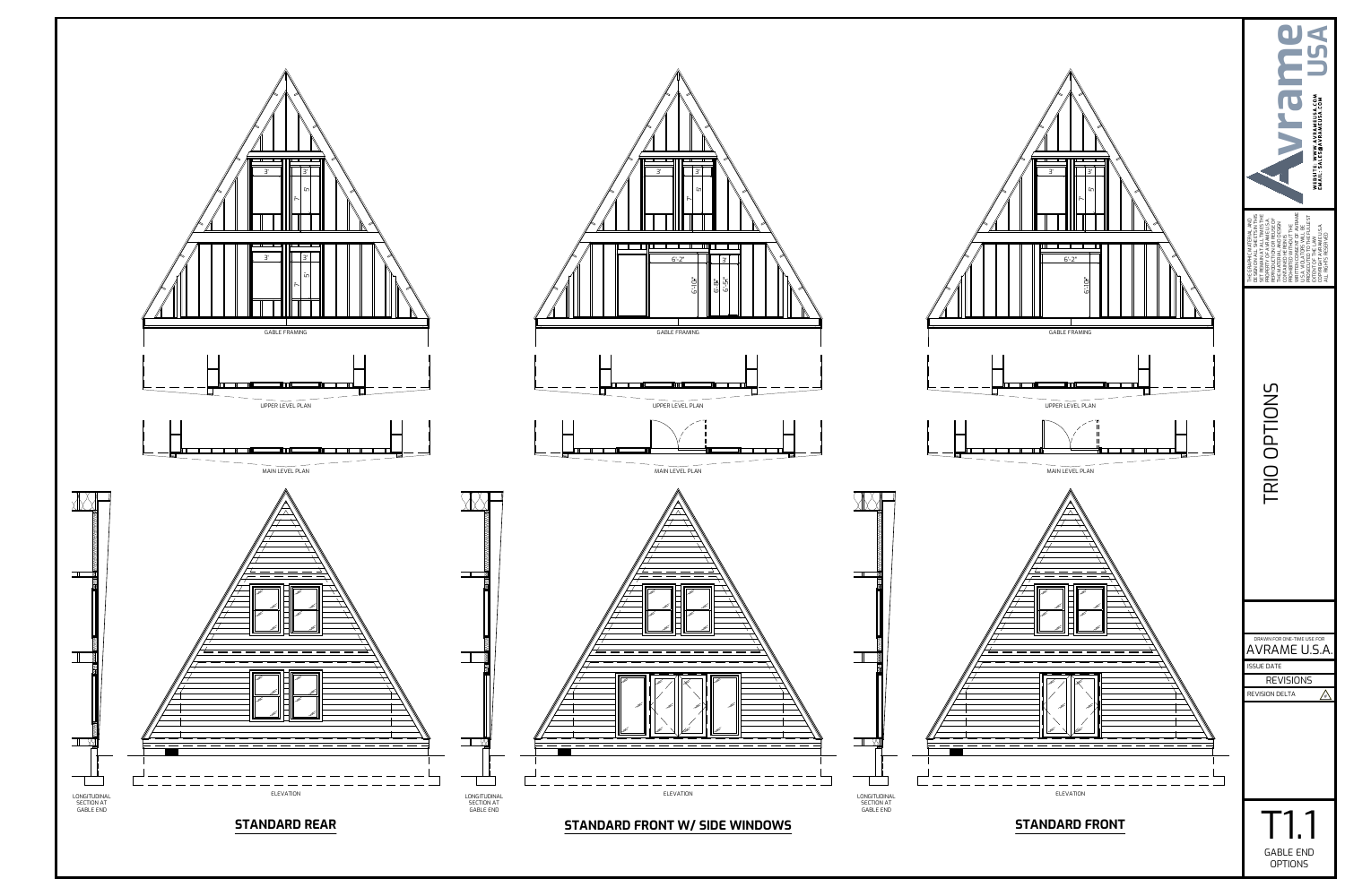